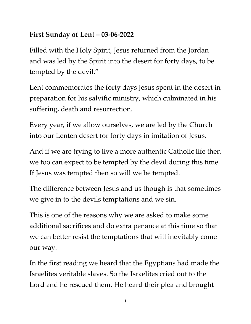## **First Sunday of Lent – 03-06-2022**

Filled with the Holy Spirit, Jesus returned from the Jordan and was led by the Spirit into the desert for forty days, to be tempted by the devil."

Lent commemorates the forty days Jesus spent in the desert in preparation for his salvific ministry, which culminated in his suffering, death and resurrection.

Every year, if we allow ourselves, we are led by the Church into our Lenten desert for forty days in imitation of Jesus.

And if we are trying to live a more authentic Catholic life then we too can expect to be tempted by the devil during this time. If Jesus was tempted then so will we be tempted.

The difference between Jesus and us though is that sometimes we give in to the devils temptations and we sin.

This is one of the reasons why we are asked to make some additional sacrifices and do extra penance at this time so that we can better resist the temptations that will inevitably come our way.

In the first reading we heard that the Egyptians had made the Israelites veritable slaves. So the Israelites cried out to the Lord and he rescued them. He heard their plea and brought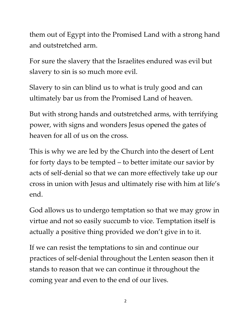them out of Egypt into the Promised Land with a strong hand and outstretched arm.

For sure the slavery that the Israelites endured was evil but slavery to sin is so much more evil.

Slavery to sin can blind us to what is truly good and can ultimately bar us from the Promised Land of heaven.

But with strong hands and outstretched arms, with terrifying power, with signs and wonders Jesus opened the gates of heaven for all of us on the cross.

This is why we are led by the Church into the desert of Lent for forty days to be tempted – to better imitate our savior by acts of self-denial so that we can more effectively take up our cross in union with Jesus and ultimately rise with him at life's end.

God allows us to undergo temptation so that we may grow in virtue and not so easily succumb to vice. Temptation itself is actually a positive thing provided we don't give in to it.

If we can resist the temptations to sin and continue our practices of self-denial throughout the Lenten season then it stands to reason that we can continue it throughout the coming year and even to the end of our lives.